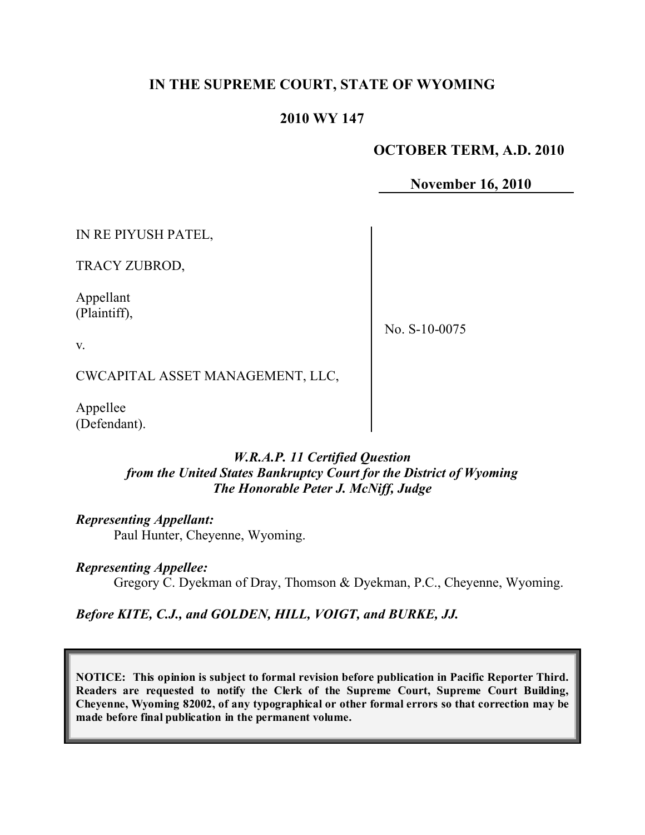# **IN THE SUPREME COURT, STATE OF WYOMING**

### **2010 WY 147**

### **OCTOBER TERM, A.D. 2010**

**November 16, 2010**

IN RE PIYUSH PATEL,

TRACY ZUBROD,

Appellant (Plaintiff),

No. S-10-0075

v.

CWCAPITAL ASSET MANAGEMENT, LLC,

Appellee (Defendant).

#### *W.R.A.P. 11 Certified Question from the United States Bankruptcy Court for the District of Wyoming The Honorable Peter J. McNiff, Judge*

*Representing Appellant:*

Paul Hunter, Cheyenne, Wyoming.

*Representing Appellee:*

Gregory C. Dyekman of Dray, Thomson & Dyekman, P.C., Cheyenne, Wyoming.

*Before KITE, C.J., and GOLDEN, HILL, VOIGT, and BURKE, JJ.*

**NOTICE: This opinion is subject to formal revision before publication in Pacific Reporter Third. Readers are requested to notify the Clerk of the Supreme Court, Supreme Court Building, Cheyenne, Wyoming 82002, of any typographical or other formal errors so that correction may be made before final publication in the permanent volume.**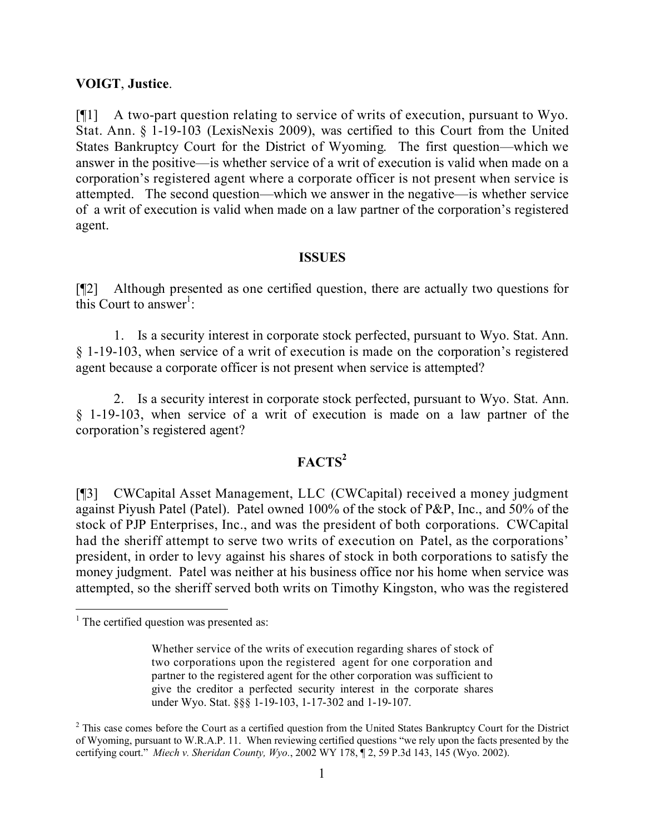#### **VOIGT**, **Justice**.

[¶1] A two-part question relating to service of writs of execution, pursuant to Wyo. Stat. Ann. § 1-19-103 (LexisNexis 2009), was certified to this Court from the United States Bankruptcy Court for the District of Wyoming. The first question—which we answer in the positive—is whether service of a writ of execution is valid when made on a corporation's registered agent where a corporate officer is not present when service is attempted. The second question—which we answer in the negative—is whether service of a writ of execution is valid when made on a law partner of the corporation's registered agent.

#### **ISSUES**

[¶2] Although presented as one certified question, there are actually two questions for this Court to answer<sup>1</sup>:

1. Is a security interest in corporate stock perfected, pursuant to Wyo. Stat. Ann. § 1-19-103, when service of a writ of execution is made on the corporation's registered agent because a corporate officer is not present when service is attempted?

2. Is a security interest in corporate stock perfected, pursuant to Wyo. Stat. Ann. § 1-19-103, when service of a writ of execution is made on a law partner of the corporation's registered agent?

## **FACTS<sup>2</sup>**

[¶3] CWCapital Asset Management, LLC (CWCapital) received a money judgment against Piyush Patel (Patel). Patel owned 100% of the stock of P&P, Inc., and 50% of the stock of PJP Enterprises, Inc., and was the president of both corporations. CWCapital had the sheriff attempt to serve two writs of execution on Patel, as the corporations' president, in order to levy against his shares of stock in both corporations to satisfy the money judgment. Patel was neither at his business office nor his home when service was attempted, so the sheriff served both writs on Timothy Kingston, who was the registered

l

<sup>&</sup>lt;sup>1</sup> The certified question was presented as:

Whether service of the writs of execution regarding shares of stock of two corporations upon the registered agent for one corporation and partner to the registered agent for the other corporation was sufficient to give the creditor a perfected security interest in the corporate shares under Wyo. Stat. §§§ 1-19-103, 1-17-302 and 1-19-107.

<sup>&</sup>lt;sup>2</sup> This case comes before the Court as a certified question from the United States Bankruptcy Court for the District of Wyoming, pursuant to W.R.A.P. 11. When reviewing certified questions "we rely upon the facts presented by the certifying court." *Miech v. Sheridan County, Wyo.*, 2002 WY 178, ¶ 2, 59 P.3d 143, 145 (Wyo. 2002).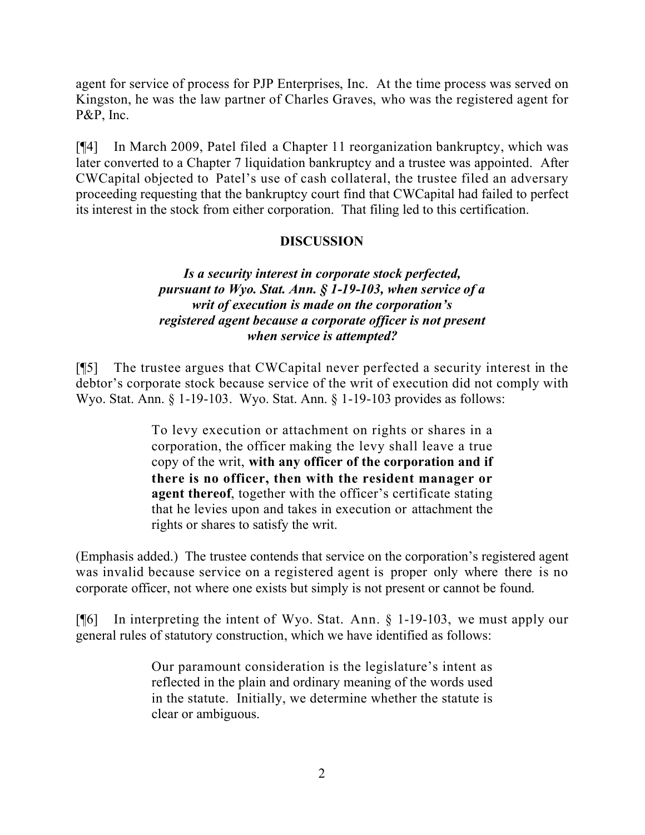agent for service of process for PJP Enterprises, Inc. At the time process was served on Kingston, he was the law partner of Charles Graves, who was the registered agent for P&P, Inc.

[¶4] In March 2009, Patel filed a Chapter 11 reorganization bankruptcy, which was later converted to a Chapter 7 liquidation bankruptcy and a trustee was appointed. After CWCapital objected to Patel's use of cash collateral, the trustee filed an adversary proceeding requesting that the bankruptcy court find that CWCapital had failed to perfect its interest in the stock from either corporation. That filing led to this certification.

## **DISCUSSION**

## *Is a security interest in corporate stock perfected, pursuant to Wyo. Stat. Ann. § 1-19-103, when service of a writ of execution is made on the corporation's registered agent because a corporate officer is not present when service is attempted?*

[¶5] The trustee argues that CWCapital never perfected a security interest in the debtor's corporate stock because service of the writ of execution did not comply with Wyo. Stat. Ann. § 1-19-103. Wyo. Stat. Ann. § 1-19-103 provides as follows:

> To levy execution or attachment on rights or shares in a corporation, the officer making the levy shall leave a true copy of the writ, **with any officer of the corporation and if there is no officer, then with the resident manager or agent thereof**, together with the officer's certificate stating that he levies upon and takes in execution or attachment the rights or shares to satisfy the writ.

(Emphasis added.) The trustee contends that service on the corporation's registered agent was invalid because service on a registered agent is proper only where there is no corporate officer, not where one exists but simply is not present or cannot be found.

[¶6] In interpreting the intent of Wyo. Stat. Ann. § 1-19-103, we must apply our general rules of statutory construction, which we have identified as follows:

> Our paramount consideration is the legislature's intent as reflected in the plain and ordinary meaning of the words used in the statute. Initially, we determine whether the statute is clear or ambiguous.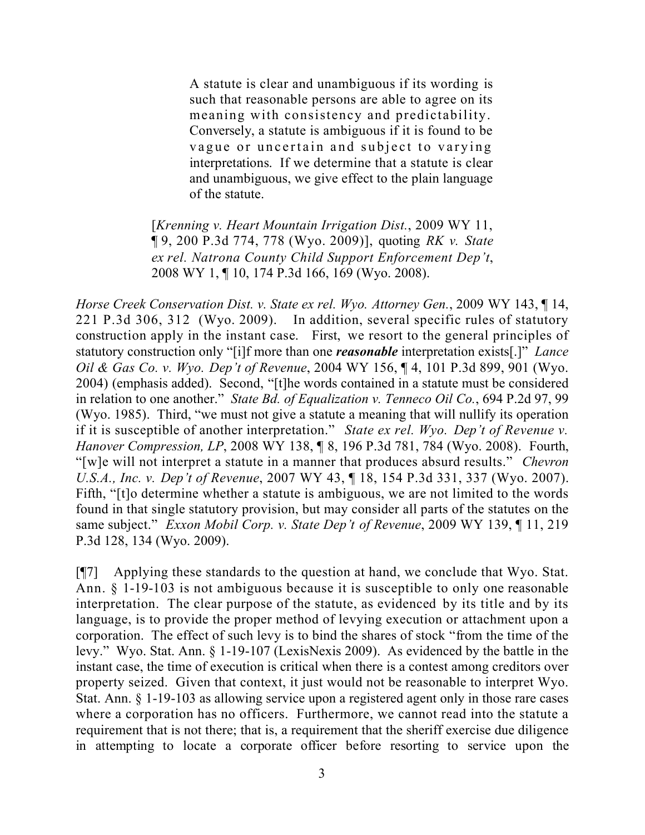A statute is clear and unambiguous if its wording is such that reasonable persons are able to agree on its meaning with consistency and predictability. Conversely, a statute is ambiguous if it is found to be vague or uncertain and subject to varying interpretations. If we determine that a statute is clear and unambiguous, we give effect to the plain language of the statute.

[*Krenning v. Heart Mountain Irrigation Dist.*, 2009 WY 11, ¶ 9, 200 P.3d 774, 778 (Wyo. 2009)], quoting *RK v. State ex rel. Natrona County Child Support Enforcement Dep't*, 2008 WY 1, ¶ 10, 174 P.3d 166, 169 (Wyo. 2008).

*Horse Creek Conservation Dist. v. State ex rel. Wyo. Attorney Gen.*, 2009 WY 143, ¶ 14, 221 P.3d 306, 312 (Wyo. 2009). In addition, several specific rules of statutory construction apply in the instant case. First, we resort to the general principles of statutory construction only "[i]f more than one *reasonable* interpretation exists[.]" *Lance Oil & Gas Co. v. Wyo. Dep't of Revenue*, 2004 WY 156, ¶ 4, 101 P.3d 899, 901 (Wyo. 2004) (emphasis added). Second, "[t]he words contained in a statute must be considered in relation to one another." *State Bd. of Equalization v. Tenneco Oil Co.*, 694 P.2d 97, 99 (Wyo. 1985). Third, "we must not give a statute a meaning that will nullify its operation if it is susceptible of another interpretation." *State ex rel. Wyo. Dep't of Revenue v. Hanover Compression, LP*, 2008 WY 138, ¶ 8, 196 P.3d 781, 784 (Wyo. 2008). Fourth, "[w]e will not interpret a statute in a manner that produces absurd results." *Chevron U.S.A., Inc. v. Dep't of Revenue*, 2007 WY 43, ¶ 18, 154 P.3d 331, 337 (Wyo. 2007). Fifth, "[t]o determine whether a statute is ambiguous, we are not limited to the words found in that single statutory provision, but may consider all parts of the statutes on the same subject." *Exxon Mobil Corp. v. State Dep't of Revenue*, 2009 WY 139, ¶ 11, 219 P.3d 128, 134 (Wyo. 2009).

[¶7] Applying these standards to the question at hand, we conclude that Wyo. Stat. Ann. § 1-19-103 is not ambiguous because it is susceptible to only one reasonable interpretation. The clear purpose of the statute, as evidenced by its title and by its language, is to provide the proper method of levying execution or attachment upon a corporation. The effect of such levy is to bind the shares of stock "from the time of the levy." Wyo. Stat. Ann. § 1-19-107 (LexisNexis 2009). As evidenced by the battle in the instant case, the time of execution is critical when there is a contest among creditors over property seized. Given that context, it just would not be reasonable to interpret Wyo. Stat. Ann. § 1-19-103 as allowing service upon a registered agent only in those rare cases where a corporation has no officers. Furthermore, we cannot read into the statute a requirement that is not there; that is, a requirement that the sheriff exercise due diligence in attempting to locate a corporate officer before resorting to service upon the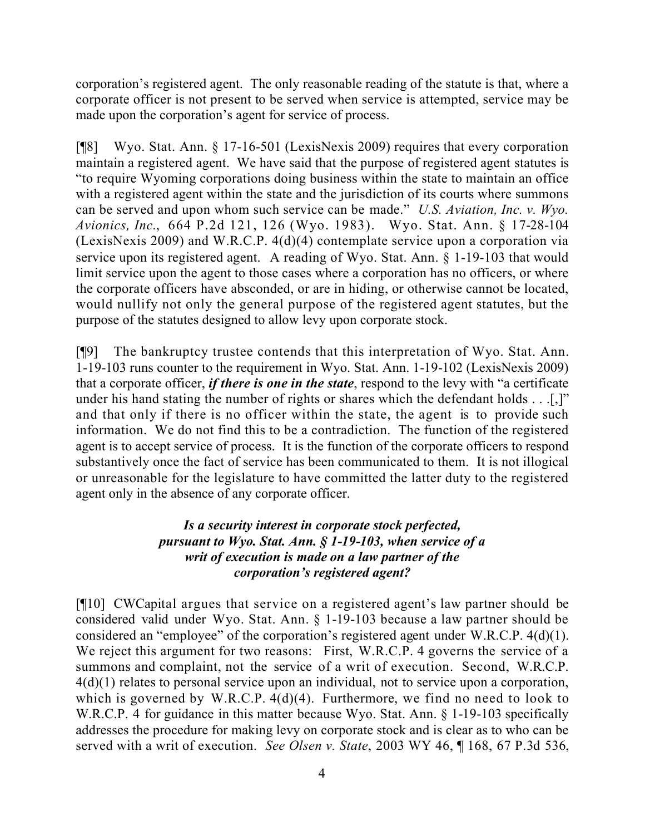corporation's registered agent. The only reasonable reading of the statute is that, where a corporate officer is not present to be served when service is attempted, service may be made upon the corporation's agent for service of process.

[¶8] Wyo. Stat. Ann. § 17-16-501 (LexisNexis 2009) requires that every corporation maintain a registered agent. We have said that the purpose of registered agent statutes is "to require Wyoming corporations doing business within the state to maintain an office with a registered agent within the state and the jurisdiction of its courts where summons can be served and upon whom such service can be made." *U.S. Aviation, Inc. v. Wyo. Avionics, Inc.*, 664 P.2d 121, 126 (Wyo. 1983). Wyo. Stat. Ann. § 17-28-104 (LexisNexis 2009) and W.R.C.P. 4(d)(4) contemplate service upon a corporation via service upon its registered agent. A reading of Wyo. Stat. Ann. § 1-19-103 that would limit service upon the agent to those cases where a corporation has no officers, or where the corporate officers have absconded, or are in hiding, or otherwise cannot be located, would nullify not only the general purpose of the registered agent statutes, but the purpose of the statutes designed to allow levy upon corporate stock.

[¶9] The bankruptcy trustee contends that this interpretation of Wyo. Stat. Ann. 1-19-103 runs counter to the requirement in Wyo. Stat. Ann. 1-19-102 (LexisNexis 2009) that a corporate officer, *if there is one in the state*, respond to the levy with "a certificate under his hand stating the number of rights or shares which the defendant holds . . .[,]" and that only if there is no officer within the state, the agent is to provide such information. We do not find this to be a contradiction. The function of the registered agent is to accept service of process. It is the function of the corporate officers to respond substantively once the fact of service has been communicated to them. It is not illogical or unreasonable for the legislature to have committed the latter duty to the registered agent only in the absence of any corporate officer.

## *Is a security interest in corporate stock perfected, pursuant to Wyo. Stat. Ann. § 1-19-103, when service of a writ of execution is made on a law partner of the corporation's registered agent?*

[¶10] CWCapital argues that service on a registered agent's law partner should be considered valid under Wyo. Stat. Ann. § 1-19-103 because a law partner should be considered an "employee" of the corporation's registered agent under W.R.C.P. 4(d)(1). We reject this argument for two reasons: First, W.R.C.P. 4 governs the service of a summons and complaint, not the service of a writ of execution. Second, W.R.C.P. 4(d)(1) relates to personal service upon an individual, not to service upon a corporation, which is governed by W.R.C.P. 4(d)(4). Furthermore, we find no need to look to W.R.C.P. 4 for guidance in this matter because Wyo. Stat. Ann. § 1-19-103 specifically addresses the procedure for making levy on corporate stock and is clear as to who can be served with a writ of execution. *See Olsen v. State*, 2003 WY 46, ¶ 168, 67 P.3d 536,